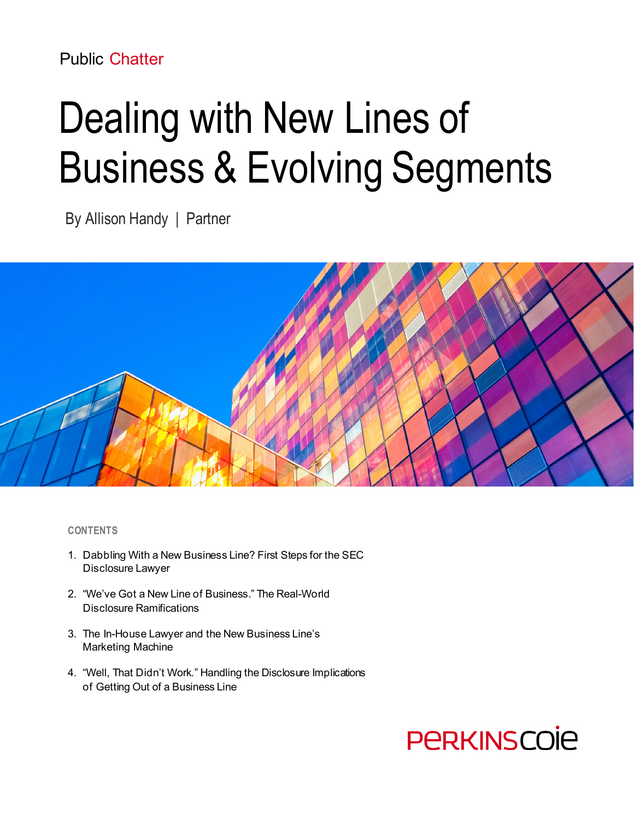## Public Chatter

# Dealing with New Lines of Business & Evolving Segments

By Allison Handy | Partner



#### **CONTENTS**

- 1. Dabbling With a New Business Line? First Steps for the SEC Disclosure Lawyer
- 2. "We've Got a New Line of Business." The Real-World Disclosure Ramifications
- 3. The In-House Lawyer and the New Business Line's Marketing Machine
- 4. "Well, That Didn't Work." Handling the Disclosure Implications of Getting Out of a Business Line

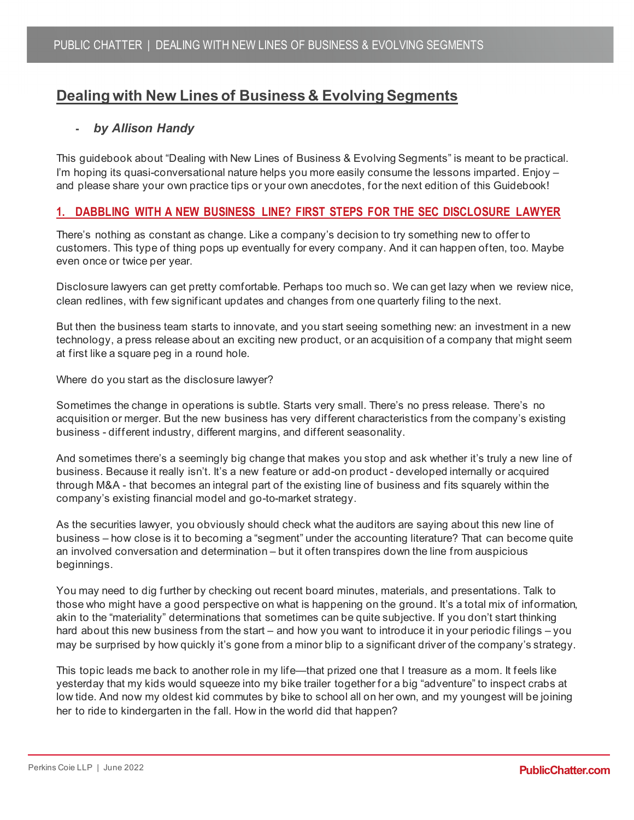### **Dealing with New Lines of Business & Evolving Segments**

#### **-** *by Allison Handy*

This guidebook about "Dealing with New Lines of Business & Evolving Segments" is meant to be practical. I'm hoping its quasi-conversational nature helps you more easily consume the lessons imparted. Enjoy – and please share your own practice tips or your own anecdotes, for the next edition of this Guidebook!

#### **1. DABBLING WITH A NEW BUSINESS LINE? FIRST STEPS FOR THE SEC DISCLOSURE LAWYER**

There's nothing as constant as change. Like a company's decision to try something new to offer to customers. This type of thing pops up eventually for every company. And it can happen often, too. Maybe even once or twice per year.

Disclosure lawyers can get pretty comfortable. Perhaps too much so. We can get lazy when we review nice, clean redlines, with few significant updates and changes from one quarterly filing to the next.

But then the business team starts to innovate, and you start seeing something new: an investment in a new technology, a press release about an exciting new product, or an acquisition of a company that might seem at first like a square peg in a round hole.

Where do you start as the disclosure lawyer?

Sometimes the change in operations is subtle. Starts very small. There's no press release. There's no acquisition or merger. But the new business has very different characteristics from the company's existing business - different industry, different margins, and different seasonality.

And sometimes there's a seemingly big change that makes you stop and ask whether it's truly a new line of business. Because it really isn't. It's a new feature or add-on product - developed internally or acquired through M&A - that becomes an integral part of the existing line of business and fits squarely within the company's existing financial model and go-to-market strategy.

As the securities lawyer, you obviously should check what the auditors are saying about this new line of business – how close is it to becoming a "segment" under the accounting literature? That can become quite an involved conversation and determination – but it often transpires down the line from auspicious beginnings.

You may need to dig further by checking out recent board minutes, materials, and presentations. Talk to those who might have a good perspective on what is happening on the ground. It's a total mix of information, akin to the "materiality" determinations that sometimes can be quite subjective. If you don't start thinking hard about this new business from the start – and how you want to introduce it in your periodic filings – you may be surprised by how quickly it's gone from a minor blip to a significant driver of the company's strategy.

This topic leads me back to another role in my life—that prized one that I treasure as a mom. It feels like yesterday that my kids would squeeze into my bike trailer together for a big "adventure" to inspect crabs at low tide. And now my oldest kid commutes by bike to school all on her own, and my youngest will be joining her to ride to kindergarten in the fall. How in the world did that happen?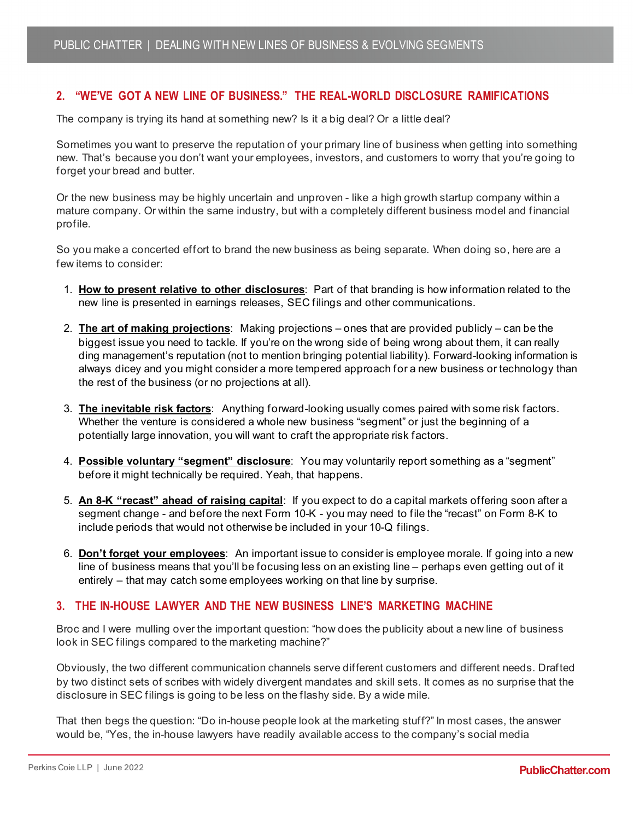#### **2. "WE'VE GOT A NEW LINE OF BUSINESS." THE REAL-WORLD DISCLOSURE RAMIFICATIONS**

The company is trying its hand at something new? Is it a big deal? Or a little deal?

Sometimes you want to preserve the reputation of your primary line of business when getting into something new. That's because you don't want your employees, investors, and customers to worry that you're going to forget your bread and butter.

Or the new business may be highly uncertain and unproven - like a high growth startup company within a mature company. Or within the same industry, but with a completely different business model and financial profile.

So you make a concerted effort to brand the new business as being separate. When doing so, here are a few items to consider:

- 1. **How to present relative to other disclosures**: Part of that branding is how information related to the new line is presented in earnings releases, SEC filings and other communications.
- 2. **The art of making projections**: Making projections ones that are provided publicly can be the biggest issue you need to tackle. If you're on the wrong side of being wrong about them, it can really ding management's reputation (not to mention bringing potential liability). Forward-looking information is always dicey and you might consider a more tempered approach for a new business or technology than the rest of the business (or no projections at all).
- 3. **The inevitable risk factors**: Anything forward-looking usually comes paired with some risk factors. Whether the venture is considered a whole new business "segment" or just the beginning of a potentially large innovation, you will want to craft the appropriate risk factors.
- 4. **Possible voluntary "segment" disclosure**: You may voluntarily report something as a "segment" before it might technically be required. Yeah, that happens.
- 5. **An 8-K "recast" ahead of raising capital**: If you expect to do a capital markets offering soon after a segment change - and before the next Form 10-K - you may need to file the "recast" on Form 8-K to include periods that would not otherwise be included in your 10-Q filings.
- 6. **Don't forget your employees**: An important issue to consider is employee morale. If going into a new line of business means that you'll be focusing less on an existing line – perhaps even getting out of it entirely – that may catch some employees working on that line by surprise.

#### **3. THE IN-HOUSE LAWYER AND THE NEW BUSINESS LINE'S MARKETING MACHINE**

Broc and I were mulling over the important question: "how does the publicity about a new line of business look in SEC filings compared to the marketing machine?"

Obviously, the two different communication channels serve different customers and different needs. Drafted by two distinct sets of scribes with widely divergent mandates and skill sets. It comes as no surprise that the disclosure in SEC filings is going to be less on the flashy side. By a wide mile.

That then begs the question: "Do in-house people look at the marketing stuff?" In most cases, the answer would be, "Yes, the in-house lawyers have readily available access to the company's social media